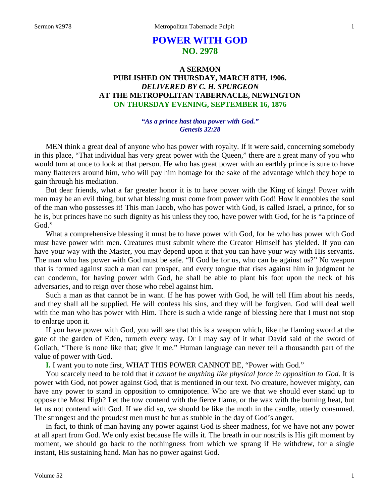# **POWER WITH GOD NO. 2978**

# **A SERMON PUBLISHED ON THURSDAY, MARCH 8TH, 1906.** *DELIVERED BY C. H. SPURGEON* **AT THE METROPOLITAN TABERNACLE, NEWINGTON ON THURSDAY EVENING, SEPTEMBER 16, 1876**

# *"As a prince hast thou power with God." Genesis 32:28*

MEN think a great deal of anyone who has power with royalty. If it were said, concerning somebody in this place, "That individual has very great power with the Queen," there are a great many of you who would turn at once to look at that person. He who has great power with an earthly prince is sure to have many flatterers around him, who will pay him homage for the sake of the advantage which they hope to gain through his mediation.

But dear friends, what a far greater honor it is to have power with the King of kings! Power with men may be an evil thing, but what blessing must come from power with God! How it ennobles the soul of the man who possesses it! This man Jacob, who has power with God, is called Israel, a prince, for so he is, but princes have no such dignity as his unless they too, have power with God, for he is "a prince of God."

What a comprehensive blessing it must be to have power with God, for he who has power with God must have power with men. Creatures must submit where the Creator Himself has yielded. If you can have your way with the Master, you may depend upon it that you can have your way with His servants. The man who has power with God must be safe. "If God be for us, who can be against us?" No weapon that is formed against such a man can prosper, and every tongue that rises against him in judgment he can condemn, for having power with God, he shall be able to plant his foot upon the neck of his adversaries, and to reign over those who rebel against him.

Such a man as that cannot be in want. If he has power with God, he will tell Him about his needs, and they shall all be supplied. He will confess his sins, and they will be forgiven. God will deal well with the man who has power with Him. There is such a wide range of blessing here that I must not stop to enlarge upon it.

If you have power with God, you will see that this is a weapon which, like the flaming sword at the gate of the garden of Eden, turneth every way. Or I may say of it what David said of the sword of Goliath, "There is none like that; give it me." Human language can never tell a thousandth part of the value of power with God.

**I.** I want you to note first, WHAT THIS POWER CANNOT BE, "Power with God."

You scarcely need to be told that *it cannot be anything like physical force in opposition to God*. It is power with God, not power against God, that is mentioned in our text. No creature, however mighty, can have any power to stand in opposition to omnipotence. Who are we that we should ever stand up to oppose the Most High? Let the tow contend with the fierce flame, or the wax with the burning heat, but let us not contend with God. If we did so, we should be like the moth in the candle, utterly consumed. The strongest and the proudest men must be but as stubble in the day of God's anger.

In fact, to think of man having any power against God is sheer madness, for we have not any power at all apart from God. We only exist because He wills it. The breath in our nostrils is His gift moment by moment, we should go back to the nothingness from which we sprang if He withdrew, for a single instant, His sustaining hand. Man has no power against God.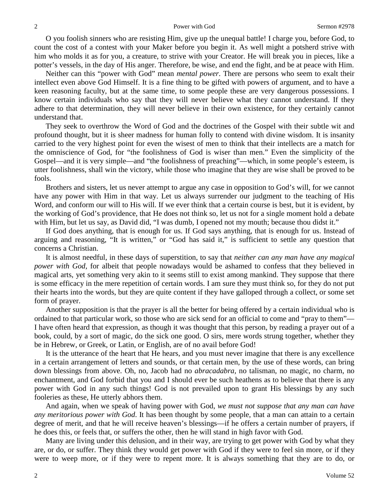O you foolish sinners who are resisting Him, give up the unequal battle! I charge you, before God, to count the cost of a contest with your Maker before you begin it. As well might a potsherd strive with him who molds it as for you, a creature, to strive with your Creator. He will break you in pieces, like a potter's vessels, in the day of His anger. Therefore, be wise, and end the fight, and be at peace with Him.

Neither can this "power with God" mean *mental power*. There are persons who seem to exalt their intellect even above God Himself. It is a fine thing to be gifted with powers of argument, and to have a keen reasoning faculty, but at the same time, to some people these are very dangerous possessions. I know certain individuals who say that they will never believe what they cannot understand. If they adhere to that determination, they will never believe in their own existence, for they certainly cannot understand that.

They seek to overthrow the Word of God and the doctrines of the Gospel with their subtle wit and profound thought, but it is sheer madness for human folly to contend with divine wisdom. It is insanity carried to the very highest point for even the wisest of men to think that their intellects are a match for the omniscience of God, for "the foolishness of God is wiser than men." Even the simplicity of the Gospel—and it is very simple—and "the foolishness of preaching"—which, in some people's esteem, is utter foolishness, shall win the victory, while those who imagine that they are wise shall be proved to be fools.

Brothers and sisters, let us never attempt to argue any case in opposition to God's will, for we cannot have any power with Him in that way. Let us always surrender our judgment to the teaching of His Word, and conform our will to His will. If we ever think that a certain course is best, but it is evident, by the working of God's providence, that He does not think so, let us not for a single moment hold a debate with Him, but let us say, as David did, "I was dumb, I opened not my mouth; because thou didst it."

If God does anything, that is enough for us. If God says anything, that is enough for us. Instead of arguing and reasoning, "It is written," or "God has said it," is sufficient to settle any question that concerns a Christian.

It is almost needful, in these days of superstition, to say that *neither can any man have any magical power with God,* for albeit that people nowadays would be ashamed to confess that they believed in magical arts, yet something very akin to it seems still to exist among mankind. They suppose that there is some efficacy in the mere repetition of certain words. I am sure they must think so, for they do not put their hearts into the words, but they are quite content if they have galloped through a collect, or some set form of prayer.

Another supposition is that the prayer is all the better for being offered by a certain individual who is ordained to that particular work, so those who are sick send for an official to come and "pray to them"— I have often heard that expression, as though it was thought that this person, by reading a prayer out of a book, could, by a sort of magic, do the sick one good. O sirs, mere words strung together, whether they be in Hebrew, or Greek, or Latin, or English, are of no avail before God!

It is the utterance of the heart that He hears, and you must never imagine that there is any excellence in a certain arrangement of letters and sounds, or that certain men, by the use of these words, can bring down blessings from above. Oh, no, Jacob had no *abracadabra,* no talisman, no magic, no charm, no enchantment, and God forbid that you and I should ever be such heathens as to believe that there is any power with God in any such things! God is not prevailed upon to grant His blessings by any such fooleries as these, He utterly abhors them.

And again, when we speak of having power with God, *we must not suppose that any man can have any meritorious power with God*. It has been thought by some people, that a man can attain to a certain degree of merit, and that he will receive heaven's blessings—if he offers a certain number of prayers, if he does this, or feels that, or suffers the other, then he will stand in high favor with God.

Many are living under this delusion, and in their way, are trying to get power with God by what they are, or do, or suffer. They think they would get power with God if they were to feel sin more, or if they were to weep more, or if they were to repent more. It is always something that they are to do, or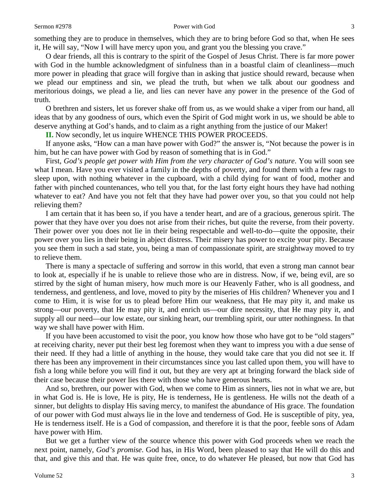#### Sermon #2978 **Power with God** 3

something they are to produce in themselves, which they are to bring before God so that, when He sees it, He will say, "Now I will have mercy upon you, and grant you the blessing you crave."

O dear friends, all this is contrary to the spirit of the Gospel of Jesus Christ. There is far more power with God in the humble acknowledgment of sinfulness than in a boastful claim of cleanliness—much more power in pleading that grace will forgive than in asking that justice should reward, because when we plead our emptiness and sin, we plead the truth, but when we talk about our goodness and meritorious doings, we plead a lie, and lies can never have any power in the presence of the God of truth.

O brethren and sisters, let us forever shake off from us, as we would shake a viper from our hand, all ideas that by any goodness of ours, which even the Spirit of God might work in us, we should be able to deserve anything at God's hands, and to claim as a right anything from the justice of our Maker!

**II.** Now secondly, let us inquire WHENCE THIS POWER PROCEEDS.

If anyone asks, "How can a man have power with God?" the answer is, "Not because the power is in him, but he can have power with God by reason of something that is in God."

First, *God's people get power with Him from the very character of God's nature*. You will soon see what I mean. Have you ever visited a family in the depths of poverty, and found them with a few rags to sleep upon, with nothing whatever in the cupboard, with a child dying for want of food, mother and father with pinched countenances, who tell you that, for the last forty eight hours they have had nothing whatever to eat? And have you not felt that they have had power over you, so that you could not help relieving them?

I am certain that it has been so, if you have a tender heart, and are of a gracious, generous spirit. The power that they have over you does not arise from their riches, but quite the reverse, from their poverty. Their power over you does not lie in their being respectable and well-to-do—quite the opposite, their power over you lies in their being in abject distress. Their misery has power to excite your pity. Because you see them in such a sad state, you, being a man of compassionate spirit, are straightway moved to try to relieve them.

There is many a spectacle of suffering and sorrow in this world, that even a strong man cannot bear to look at, especially if he is unable to relieve those who are in distress. Now, if we, being evil, are so stirred by the sight of human misery, how much more is our Heavenly Father, who is all goodness, and tenderness, and gentleness, and love, moved to pity by the miseries of His children? Whenever you and I come to Him, it is wise for us to plead before Him our weakness, that He may pity it, and make us strong—our poverty, that He may pity it, and enrich us—our dire necessity, that He may pity it, and supply all our need—our low estate, our sinking heart, our trembling spirit, our utter nothingness. In that way we shall have power with Him.

If you have been accustomed to visit the poor, you know how those who have got to be "old stagers" at receiving charity, never put their best leg foremost when they want to impress you with a due sense of their need. If they had a little of anything in the house, they would take care that you did not see it. If there has been any improvement in their circumstances since you last called upon them, you will have to fish a long while before you will find it out, but they are very apt at bringing forward the black side of their case because their power lies there with those who have generous hearts.

And so, brethren, our power with God, when we come to Him as sinners, lies not in what we are, but in what God is. He is love, He is pity, He is tenderness, He is gentleness. He wills not the death of a sinner, but delights to display His saving mercy, to manifest the abundance of His grace. The foundation of our power with God must always lie in the love and tenderness of God. He is susceptible of pity, yea, He is tenderness itself. He is a God of compassion, and therefore it is that the poor, feeble sons of Adam have power with Him.

But we get a further view of the source whence this power with God proceeds when we reach the next point, namely, *God's promise*. God has, in His Word, been pleased to say that He will do this and that, and give this and that. He was quite free, once, to do whatever He pleased, but now that God has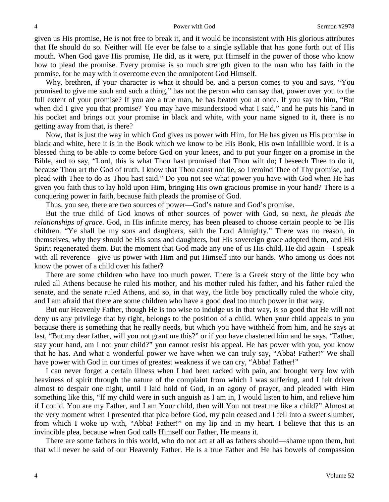given us His promise, He is not free to break it, and it would be inconsistent with His glorious attributes that He should do so. Neither will He ever be false to a single syllable that has gone forth out of His mouth. When God gave His promise, He did, as it were, put Himself in the power of those who know how to plead the promise. Every promise is so much strength given to the man who has faith in the promise, for he may with it overcome even the omnipotent God Himself.

Why, brethren, if your character is what it should be, and a person comes to you and says, "You promised to give me such and such a thing," has not the person who can say that, power over you to the full extent of your promise? If you are a true man, he has beaten you at once. If you say to him, "But when did I give you that promise? You may have misunderstood what I said," and he puts his hand in his pocket and brings out your promise in black and white, with your name signed to it, there is no getting away from that, is there?

Now, that is just the way in which God gives us power with Him, for He has given us His promise in black and white, here it is in the Book which we know to be His Book, His own infallible word. It is a blessed thing to be able to come before God on your knees, and to put your finger on a promise in the Bible, and to say, "Lord, this is what Thou hast promised that Thou wilt do; I beseech Thee to do it, because Thou art the God of truth. I know that Thou canst not lie, so I remind Thee of Thy promise, and plead with Thee to do as Thou hast said." Do you not see what power you have with God when He has given you faith thus to lay hold upon Him, bringing His own gracious promise in your hand? There is a conquering power in faith, because faith pleads the promise of God.

Thus, you see, there are two sources of power—God's nature and God's promise.

But the true child of God knows of other sources of power with God, so next, *he pleads the relationships of grace*. God, in His infinite mercy, has been pleased to choose certain people to be His children. "Ye shall be my sons and daughters, saith the Lord Almighty." There was no reason, in themselves, why they should be His sons and daughters, but His sovereign grace adopted them, and His Spirit regenerated them. But the moment that God made any one of us His child, He did again—I speak with all reverence—give us power with Him and put Himself into our hands. Who among us does not know the power of a child over his father?

There are some children who have too much power. There is a Greek story of the little boy who ruled all Athens because he ruled his mother, and his mother ruled his father, and his father ruled the senate, and the senate ruled Athens, and so, in that way, the little boy practically ruled the whole city, and I am afraid that there are some children who have a good deal too much power in that way.

But our Heavenly Father, though He is too wise to indulge us in that way, is so good that He will not deny us any privilege that by right, belongs to the position of a child. When your child appeals to you because there is something that he really needs, but which you have withheld from him, and he says at last, "But my dear father, will you not grant me this?" or if you have chastened him and he says, "Father, stay your hand, am I not your child?" you cannot resist his appeal. He has power with you, you know that he has. And what a wonderful power we have when we can truly say, "Abba! Father!" We shall have power with God in our times of greatest weakness if we can cry, "Abba! Father!"

I can never forget a certain illness when I had been racked with pain, and brought very low with heaviness of spirit through the nature of the complaint from which I was suffering, and I felt driven almost to despair one night, until I laid hold of God, in an agony of prayer, and pleaded with Him something like this, "If my child were in such anguish as I am in, I would listen to him, and relieve him if I could. You are my Father, and I am Your child, then will You not treat me like a child?" Almost at the very moment when I presented that plea before God, my pain ceased and I fell into a sweet slumber, from which I woke up with, "Abba! Father!" on my lip and in my heart. I believe that this is an invincible plea, because when God calls Himself our Father, He means it.

There are some fathers in this world, who do not act at all as fathers should—shame upon them, but that will never be said of our Heavenly Father. He is a true Father and He has bowels of compassion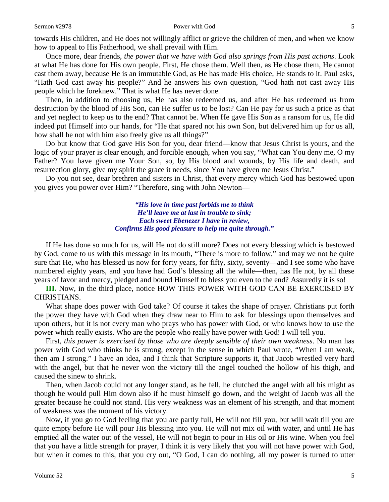### Sermon #2978 **Sermon #2978 Power with God** 5

towards His children, and He does not willingly afflict or grieve the children of men, and when we know how to appeal to His Fatherhood, we shall prevail with Him.

Once more, dear friends, *the power that we have with God also springs from His past actions*. Look at what He has done for His own people. First, He chose them. Well then, as He chose them, He cannot cast them away, because He is an immutable God, as He has made His choice, He stands to it. Paul asks, "Hath God cast away his people?" And he answers his own question, "God hath not cast away His people which he foreknew." That is what He has never done.

Then, in addition to choosing us, He has also redeemed us, and after He has redeemed us from destruction by the blood of His Son, can He suffer us to be lost? Can He pay for us such a price as that and yet neglect to keep us to the end? That cannot be. When He gave His Son as a ransom for us, He did indeed put Himself into our hands, for "He that spared not his own Son, but delivered him up for us all, how shall he not with him also freely give us all things?"

Do but know that God gave His Son for you, dear friend—know that Jesus Christ is yours, and the logic of your prayer is clear enough, and forcible enough, when you say, "What can You deny me, O my Father? You have given me Your Son, so, by His blood and wounds, by His life and death, and resurrection glory, give my spirit the grace it needs, since You have given me Jesus Christ."

Do you not see, dear brethren and sisters in Christ, that every mercy which God has bestowed upon you gives you power over Him? "Therefore, sing with John Newton—

> *"His love in time past forbids me to think He'll leave me at last in trouble to sink; Each sweet Ebenezer I have in review, Confirms His good pleasure to help me quite through."*

If He has done so much for us, will He not do still more? Does not every blessing which is bestowed by God, come to us with this message in its mouth, "There is more to follow," and may we not be quite sure that He, who has blessed us now for forty years, for fifty, sixty, seventy—and I see some who have numbered eighty years, and you have had God's blessing all the while—then, has He not, by all these years of favor and mercy, pledged and bound Himself to bless you even to the end? Assuredly it is so!

**III.** Now, in the third place, notice HOW THIS POWER WITH GOD CAN BE EXERCISED BY CHRISTIANS.

What shape does power with God take? Of course it takes the shape of prayer. Christians put forth the power they have with God when they draw near to Him to ask for blessings upon themselves and upon others, but it is not every man who prays who has power with God, or who knows how to use the power which really exists. Who are the people who really have power with God! I will tell you.

First, *this power is exercised by those who are deeply sensible of their own weakness*. No man has power with God who thinks he is strong, except in the sense in which Paul wrote, "When I am weak, then am I strong." I have an idea, and I think that Scripture supports it, that Jacob wrestled very hard with the angel, but that he never won the victory till the angel touched the hollow of his thigh, and caused the sinew to shrink.

Then, when Jacob could not any longer stand, as he fell, he clutched the angel with all his might as though he would pull Him down also if he must himself go down, and the weight of Jacob was all the greater because he could not stand. His very weakness was an element of his strength, and that moment of weakness was the moment of his victory.

Now, if you go to God feeling that you are partly full, He will not fill you, but will wait till you are quite empty before He will pour His blessing into you. He will not mix oil with water, and until He has emptied all the water out of the vessel, He will not begin to pour in His oil or His wine. When you feel that you have a little strength for prayer, I think it is very likely that you will not have power with God, but when it comes to this, that you cry out, "O God, I can do nothing, all my power is turned to utter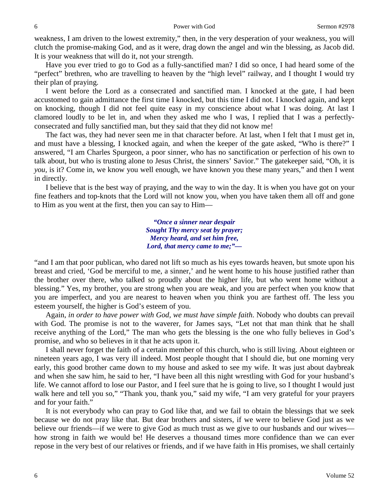weakness, I am driven to the lowest extremity," then, in the very desperation of your weakness, you will clutch the promise-making God, and as it were, drag down the angel and win the blessing, as Jacob did. It is your weakness that will do it, not your strength.

Have you ever tried to go to God as a fully-sanctified man? I did so once, I had heard some of the "perfect" brethren, who are travelling to heaven by the "high level" railway, and I thought I would try their plan of praying.

I went before the Lord as a consecrated and sanctified man. I knocked at the gate, I had been accustomed to gain admittance the first time I knocked, but this time I did not. I knocked again, and kept on knocking, though I did not feel quite easy in my conscience about what I was doing. At last I clamored loudly to be let in, and when they asked me who I was, I replied that I was a perfectlyconsecrated and fully sanctified man, but they said that they did not know me!

The fact was, they had never seen me in that character before. At last, when I felt that I must get in, and must have a blessing, I knocked again, and when the keeper of the gate asked, "Who is there?" I answered, "I am Charles Spurgeon, a poor sinner, who has no sanctification or perfection of his own to talk about, but who is trusting alone to Jesus Christ, the sinners' Savior." The gatekeeper said, "Oh, it is *you,* is it? Come in, we know you well enough, we have known you these many years," and then I went in directly.

I believe that is the best way of praying, and the way to win the day. It is when you have got on your fine feathers and top-knots that the Lord will not know you, when you have taken them all off and gone to Him as you went at the first, then you can say to Him—

> *"Once a sinner near despair Sought Thy mercy seat by prayer; Mercy heard, and set him free, Lord, that mercy came to me;"—*

"and I am that poor publican, who dared not lift so much as his eyes towards heaven, but smote upon his breast and cried, 'God be merciful to me, a sinner,' and he went home to his house justified rather than the brother over there, who talked so proudly about the higher life, but who went home without a blessing." Yes, my brother, you are strong when you are weak, and you are perfect when you know that you are imperfect, and you are nearest to heaven when you think you are farthest off. The less you esteem yourself, the higher is God's esteem of you.

Again, *in order to have power with God, we must have simple faith*. Nobody who doubts can prevail with God. The promise is not to the waverer, for James says, "Let not that man think that he shall receive anything of the Lord," The man who gets the blessing is the one who fully believes in God's promise, and who so believes in it that he acts upon it.

I shall never forget the faith of a certain member of this church, who is still living. About eighteen or nineteen years ago, I was very ill indeed. Most people thought that I should die, but one morning very early, this good brother came down to my house and asked to see my wife. It was just about daybreak and when she saw him, he said to her, "I have been all this night wrestling with God for your husband's life. We cannot afford to lose our Pastor, and I feel sure that he is going to live, so I thought I would just walk here and tell you so," "Thank you, thank you," said my wife, "I am very grateful for your prayers and for your faith."

It is not everybody who can pray to God like that, and we fail to obtain the blessings that we seek because we do not pray like that. But dear brothers and sisters, if we were to believe God just as we believe our friends—if we were to give God as much trust as we give to our husbands and our wives how strong in faith we would be! He deserves a thousand times more confidence than we can ever repose in the very best of our relatives or friends, and if we have faith in His promises, we shall certainly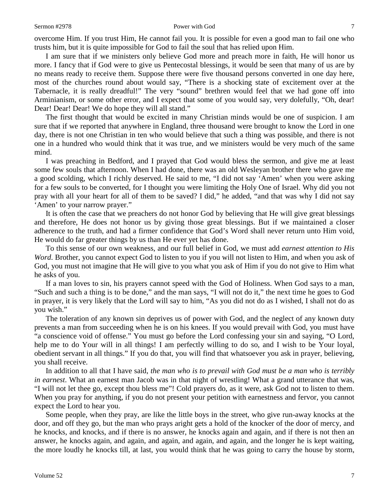#### Sermon #2978 **Power with God** 7

overcome Him. If you trust Him, He cannot fail you. It is possible for even a good man to fail one who trusts him, but it is quite impossible for God to fail the soul that has relied upon Him.

I am sure that if we ministers only believe God more and preach more in faith, He will honor us more. I fancy that if God were to give us Pentecostal blessings, it would be seen that many of us are by no means ready to receive them. Suppose there were five thousand persons converted in one day here, most of the churches round about would say, "There is a shocking state of excitement over at the Tabernacle, it is really dreadful!" The very "sound" brethren would feel that we had gone off into Arminianism, or some other error, and I expect that some of you would say, very dolefully, "Oh, dear! Dear! Dear! Dear! We do hope they will all stand."

The first thought that would be excited in many Christian minds would be one of suspicion. I am sure that if we reported that anywhere in England, three thousand were brought to know the Lord in one day, there is not one Christian in ten who would believe that such a thing was possible, and there is not one in a hundred who would think that it was true, and we ministers would be very much of the same mind.

I was preaching in Bedford, and I prayed that God would bless the sermon, and give me at least some few souls that afternoon. When I had done, there was an old Wesleyan brother there who gave me a good scolding, which I richly deserved. He said to me, "I did not say 'Amen' when you were asking for a few souls to be converted, for I thought you were limiting the Holy One of Israel. Why did you not pray with all your heart for all of them to be saved? I did," he added, "and that was why I did not say 'Amen' to your narrow prayer."

It is often the case that we preachers do not honor God by believing that He will give great blessings and therefore, He does not honor us by giving those great blessings. But if we maintained a closer adherence to the truth, and had a firmer confidence that God's Word shall never return unto Him void, He would do far greater things by us than He ever yet has done.

To this sense of our own weakness, and our full belief in God, we must add *earnest attention to His Word*. Brother, you cannot expect God to listen to you if you will not listen to Him, and when you ask of God, you must not imagine that He will give to you what you ask of Him if you do not give to Him what he asks of you.

If a man loves to sin, his prayers cannot speed with the God of Holiness. When God says to a man, "Such and such a thing is to be done," and the man says, "I will not do it," the next time he goes to God in prayer, it is very likely that the Lord will say to him, "As you did not do as I wished, I shall not do as you wish."

The toleration of any known sin deprives us of power with God, and the neglect of any known duty prevents a man from succeeding when he is on his knees. If you would prevail with God, you must have "a conscience void of offense." You must go before the Lord confessing your sin and saying, "O Lord, help me to do Your will in all things! I am perfectly willing to do so, and I wish to be Your loyal, obedient servant in all things." If you do that, you will find that whatsoever you ask in prayer, believing, you shall receive.

In addition to all that I have said, *the man who is to prevail with God must be a man who is terribly in earnest*. What an earnest man Jacob was in that night of wrestling! What a grand utterance that was, "I will not let thee go, except thou bless me"! Cold prayers do, as it were, ask God not to listen to them. When you pray for anything, if you do not present your petition with earnestness and fervor, you cannot expect the Lord to hear you.

Some people, when they pray, are like the little boys in the street, who give run-away knocks at the door, and off they go, but the man who prays aright gets a hold of the knocker of the door of mercy, and he knocks, and knocks, and if there is no answer, he knocks again and again, and if there is not then an answer, he knocks again, and again, and again, and again, and again, and the longer he is kept waiting, the more loudly he knocks till, at last, you would think that he was going to carry the house by storm,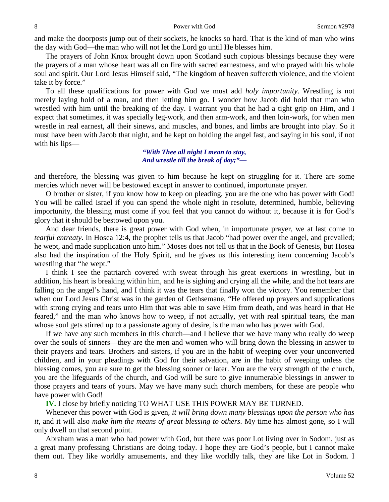and make the doorposts jump out of their sockets, he knocks so hard. That is the kind of man who wins the day with God—the man who will not let the Lord go until He blesses him.

The prayers of John Knox brought down upon Scotland such copious blessings because they were the prayers of a man whose heart was all on fire with sacred earnestness, and who prayed with his whole soul and spirit. Our Lord Jesus Himself said, "The kingdom of heaven suffereth violence, and the violent take it by force."

To all these qualifications for power with God we must add *holy importunity*. Wrestling is not merely laying hold of a man, and then letting him go. I wonder how Jacob did hold that man who wrestled with him until the breaking of the day. I warrant you that he had a tight grip on Him, and I expect that sometimes, it was specially leg-work, and then arm-work, and then loin-work, for when men wrestle in real earnest, all their sinews, and muscles, and bones, and limbs are brought into play. So it must have been with Jacob that night, and he kept on holding the angel fast, and saying in his soul, if not with his lips—

# *"With Thee all night I mean to stay, And wrestle till the break of day;"—*

and therefore, the blessing was given to him because he kept on struggling for it. There are some mercies which never will be bestowed except in answer to continued, importunate prayer.

O brother or sister, if you know how to keep on pleading, you are the one who has power with God! You will be called Israel if you can spend the whole night in resolute, determined, humble, believing importunity, the blessing must come if you feel that you cannot do without it, because it is for God's glory that it should be bestowed upon you.

And dear friends, there is great power with God when, in importunate prayer, we at last come to *tearful entreaty*. In Hosea 12:4, the prophet tells us that Jacob "had power over the angel, and prevailed; he wept, and made supplication unto him." Moses does not tell us that in the Book of Genesis, but Hosea also had the inspiration of the Holy Spirit, and he gives us this interesting item concerning Jacob's wrestling that "he wept."

I think I see the patriarch covered with sweat through his great exertions in wrestling, but in addition, his heart is breaking within him, and he is sighing and crying all the while, and the hot tears are falling on the angel's hand, and I think it was the tears that finally won the victory. You remember that when our Lord Jesus Christ was in the garden of Gethsemane, "He offered up prayers and supplications with strong crying and tears unto Him that was able to save Him from death, and was heard in that He feared," and the man who knows how to weep, if not actually, yet with real spiritual tears, the man whose soul gets stirred up to a passionate agony of desire, is the man who has power with God.

If we have any such members in this church—and I believe that we have many who really do weep over the souls of sinners—they are the men and women who will bring down the blessing in answer to their prayers and tears. Brothers and sisters, if you are in the habit of weeping over your unconverted children, and in your pleadings with God for their salvation, are in the habit of weeping unless the blessing comes, you are sure to get the blessing sooner or later. You are the very strength of the church, you are the lifeguards of the church, and God will be sure to give innumerable blessings in answer to those prayers and tears of yours. May we have many such church members, for these are people who have power with God!

**IV.** I close by briefly noticing TO WHAT USE THIS POWER MAY BE TURNED.

Whenever this power with God is given*, it will bring down many blessings upon the person who has it,* and it will also *make him the means of great blessing to others*. My time has almost gone, so I will only dwell on that second point.

Abraham was a man who had power with God, but there was poor Lot living over in Sodom, just as a great many professing Christians are doing today. I hope they are God's people, but I cannot make them out. They like worldly amusements, and they like worldly talk, they are like Lot in Sodom. I